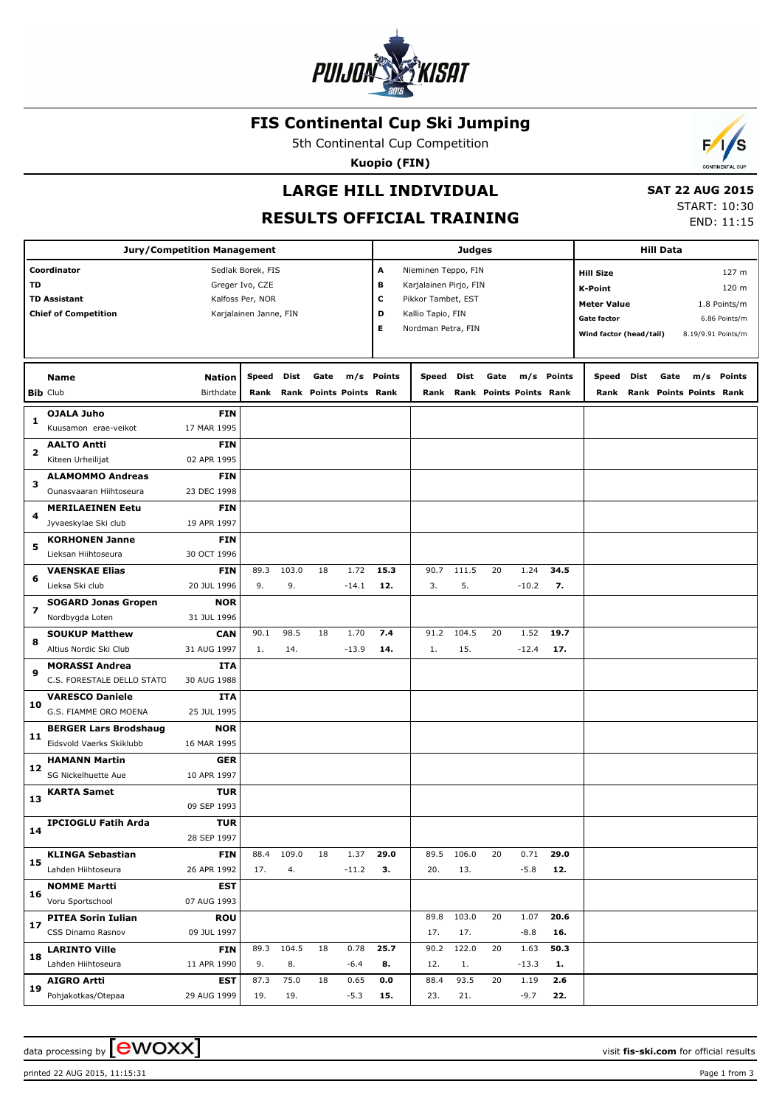

## **FIS Continental Cup Ski Jumping**

5th Continental Cup Competition

**Kuopio (FIN)**



 **SAT 22 AUG 2015**

**RESULTS OFFICIAL TRAINING**

START: 10:30 END: 11:15

 $\overline{\phantom{a}}$ 

| <b>Jury/Competition Management</b> |                                                    |                 |                                            |       |                         |         |            |                                         |       |      | <b>Hill Data</b>        |            |                         |      |      |                         |               |
|------------------------------------|----------------------------------------------------|-----------------|--------------------------------------------|-------|-------------------------|---------|------------|-----------------------------------------|-------|------|-------------------------|------------|-------------------------|------|------|-------------------------|---------------|
|                                    | Coordinator                                        |                 | Sedlak Borek, FIS                          |       |                         |         | А          | Nieminen Teppo, FIN                     |       |      |                         |            | <b>Hill Size</b>        |      |      |                         | 127 m         |
| TD                                 |                                                    | Greger Ivo, CZE |                                            |       |                         |         | в          | Karjalainen Pirjo, FIN                  |       |      |                         |            | <b>K-Point</b>          |      |      |                         | 120 m         |
|                                    | <b>TD Assistant</b><br><b>Chief of Competition</b> |                 | Kalfoss Per, NOR<br>Karjalainen Janne, FIN |       |                         |         | c<br>D     | Pikkor Tambet, EST<br>Kallio Tapio, FIN |       |      |                         |            | <b>Meter Value</b>      |      |      |                         | 1.8 Points/m  |
|                                    |                                                    |                 |                                            |       |                         |         | Е          | Nordman Petra, FIN                      |       |      |                         |            | Gate factor             |      |      |                         | 6.86 Points/m |
|                                    |                                                    |                 |                                            |       |                         |         |            |                                         |       |      |                         |            | Wind factor (head/tail) |      |      | 8.19/9.91 Points/m      |               |
|                                    |                                                    |                 |                                            |       |                         |         |            |                                         |       |      |                         |            |                         |      |      |                         |               |
|                                    | <b>Name</b>                                        | Nation          | Speed                                      | Dist  | Gate                    |         | m/s Points | Speed                                   | Dist  | Gate |                         | m/s Points | Speed                   | Dist | Gate |                         | m/s Points    |
|                                    | <b>Bib Club</b>                                    | Birthdate       | Rank                                       |       | Rank Points Points Rank |         |            | Rank                                    |       |      | Rank Points Points Rank |            | Rank                    |      |      | Rank Points Points Rank |               |
| 1                                  | <b>OJALA Juho</b>                                  | FIN             |                                            |       |                         |         |            |                                         |       |      |                         |            |                         |      |      |                         |               |
|                                    | Kuusamon erae-veikot                               | 17 MAR 1995     |                                            |       |                         |         |            |                                         |       |      |                         |            |                         |      |      |                         |               |
| 2                                  | <b>AALTO Antti</b>                                 | <b>FIN</b>      |                                            |       |                         |         |            |                                         |       |      |                         |            |                         |      |      |                         |               |
|                                    | Kiteen Urheilijat                                  | 02 APR 1995     |                                            |       |                         |         |            |                                         |       |      |                         |            |                         |      |      |                         |               |
| з                                  | <b>ALAMOMMO Andreas</b>                            | <b>FIN</b>      |                                            |       |                         |         |            |                                         |       |      |                         |            |                         |      |      |                         |               |
|                                    | Ounasvaaran Hiihtoseura                            | 23 DEC 1998     |                                            |       |                         |         |            |                                         |       |      |                         |            |                         |      |      |                         |               |
| 4                                  | <b>MERILAEINEN Eetu</b>                            | FIN             |                                            |       |                         |         |            |                                         |       |      |                         |            |                         |      |      |                         |               |
|                                    | Jyvaeskylae Ski club                               | 19 APR 1997     |                                            |       |                         |         |            |                                         |       |      |                         |            |                         |      |      |                         |               |
| 5                                  | <b>KORHONEN Janne</b>                              | <b>FIN</b>      |                                            |       |                         |         |            |                                         |       |      |                         |            |                         |      |      |                         |               |
|                                    | Lieksan Hiihtoseura                                | 30 OCT 1996     |                                            |       |                         |         |            |                                         |       |      |                         |            |                         |      |      |                         |               |
|                                    | <b>VAENSKAE Elias</b>                              | <b>FIN</b>      | 89.3                                       | 103.0 | 18                      | 1.72    | 15.3       | 90.7                                    | 111.5 | 20   | 1.24                    | 34.5       |                         |      |      |                         |               |
| 6                                  | Lieksa Ski club                                    | 20 JUL 1996     | 9.                                         | 9.    |                         | $-14.1$ | 12.        | 3.                                      | 5.    |      | $-10.2$                 | 7.         |                         |      |      |                         |               |
|                                    | <b>SOGARD Jonas Gropen</b>                         | <b>NOR</b>      |                                            |       |                         |         |            |                                         |       |      |                         |            |                         |      |      |                         |               |
| 7                                  | Nordbygda Loten                                    | 31 JUL 1996     |                                            |       |                         |         |            |                                         |       |      |                         |            |                         |      |      |                         |               |
|                                    | <b>SOUKUP Matthew</b>                              | <b>CAN</b>      | 90.1                                       | 98.5  | 18                      | 1.70    | 7.4        | 91.2                                    | 104.5 | 20   | 1.52                    | 19.7       |                         |      |      |                         |               |
| 8                                  | Altius Nordic Ski Club                             | 31 AUG 1997     | 1.                                         | 14.   |                         | $-13.9$ | 14.        | 1.                                      | 15.   |      | $-12.4$                 | 17.        |                         |      |      |                         |               |
| 9                                  | <b>MORASSI Andrea</b>                              | ITA             |                                            |       |                         |         |            |                                         |       |      |                         |            |                         |      |      |                         |               |
|                                    | C.S. FORESTALE DELLO STATO                         | 30 AUG 1988     |                                            |       |                         |         |            |                                         |       |      |                         |            |                         |      |      |                         |               |
| 10                                 | <b>VARESCO Daniele</b>                             | ITA             |                                            |       |                         |         |            |                                         |       |      |                         |            |                         |      |      |                         |               |
|                                    | G.S. FIAMME ORO MOENA                              | 25 JUL 1995     |                                            |       |                         |         |            |                                         |       |      |                         |            |                         |      |      |                         |               |
| 11                                 | <b>BERGER Lars Brodshaug</b>                       | <b>NOR</b>      |                                            |       |                         |         |            |                                         |       |      |                         |            |                         |      |      |                         |               |
|                                    | Eidsvold Vaerks Skiklubb                           | 16 MAR 1995     |                                            |       |                         |         |            |                                         |       |      |                         |            |                         |      |      |                         |               |
| 12                                 | <b>HAMANN Martin</b>                               | GER             |                                            |       |                         |         |            |                                         |       |      |                         |            |                         |      |      |                         |               |
|                                    | SG Nickelhuette Aue                                | 10 APR 1997     |                                            |       |                         |         |            |                                         |       |      |                         |            |                         |      |      |                         |               |
| 13                                 | <b>KARTA Samet</b>                                 | TUR             |                                            |       |                         |         |            |                                         |       |      |                         |            |                         |      |      |                         |               |
|                                    |                                                    | 09 SEP 1993     |                                            |       |                         |         |            |                                         |       |      |                         |            |                         |      |      |                         |               |
| 14                                 | <b>IPCIOGLU Fatih Arda</b>                         | TUR             |                                            |       |                         |         |            |                                         |       |      |                         |            |                         |      |      |                         |               |
|                                    |                                                    | 28 SEP 1997     |                                            |       |                         |         |            |                                         |       |      |                         |            |                         |      |      |                         |               |
| 15                                 | <b>KLINGA Sebastian</b>                            | <b>FIN</b>      | 88.4                                       | 109.0 | 18                      | 1.37    | 29.0       | 89.5                                    | 106.0 | 20   | 0.71                    | 29.0       |                         |      |      |                         |               |
|                                    | Lahden Hiihtoseura                                 | 26 APR 1992     | 17.                                        | 4.    |                         | $-11.2$ | З.         | 20.                                     | 13.   |      | $-5.8$                  | 12.        |                         |      |      |                         |               |
| 16                                 | <b>NOMME Martti</b>                                | <b>EST</b>      |                                            |       |                         |         |            |                                         |       |      |                         |            |                         |      |      |                         |               |
|                                    | Voru Sportschool                                   | 07 AUG 1993     |                                            |       |                         |         |            |                                         |       |      |                         |            |                         |      |      |                         |               |
| 17                                 | <b>PITEA Sorin Iulian</b>                          | <b>ROU</b>      |                                            |       |                         |         |            | 89.8                                    | 103.0 | 20   | 1.07                    | 20.6       |                         |      |      |                         |               |
|                                    | CSS Dinamo Rasnov                                  | 09 JUL 1997     |                                            |       |                         |         |            | 17.                                     | 17.   |      | $-8.8$                  | 16.        |                         |      |      |                         |               |
| 18                                 | <b>LARINTO Ville</b>                               | <b>FIN</b>      | 89.3                                       | 104.5 | 18                      | 0.78    | 25.7       | 90.2                                    | 122.0 | 20   | 1.63                    | 50.3       |                         |      |      |                         |               |
|                                    | Lahden Hiihtoseura                                 | 11 APR 1990     | 9.                                         | 8.    |                         | $-6.4$  | 8.         | 12.                                     | 1.    |      | $-13.3$                 | 1.         |                         |      |      |                         |               |
| 19                                 | <b>AIGRO Artti</b>                                 | EST             | 87.3                                       | 75.0  | 18                      | 0.65    | 0.0        | 88.4                                    | 93.5  | 20   | 1.19                    | 2.6        |                         |      |      |                         |               |
|                                    | Pohjakotkas/Otepaa                                 | 29 AUG 1999     | 19.                                        | 19.   |                         | $-5.3$  | 15.        | 23.                                     | 21.   |      | $-9.7$                  | 22.        |                         |      |      |                         |               |

data processing by **CWOXX**  $\blacksquare$ 

printed 22 AUG 2015, 11:15:31 Page 1 from 3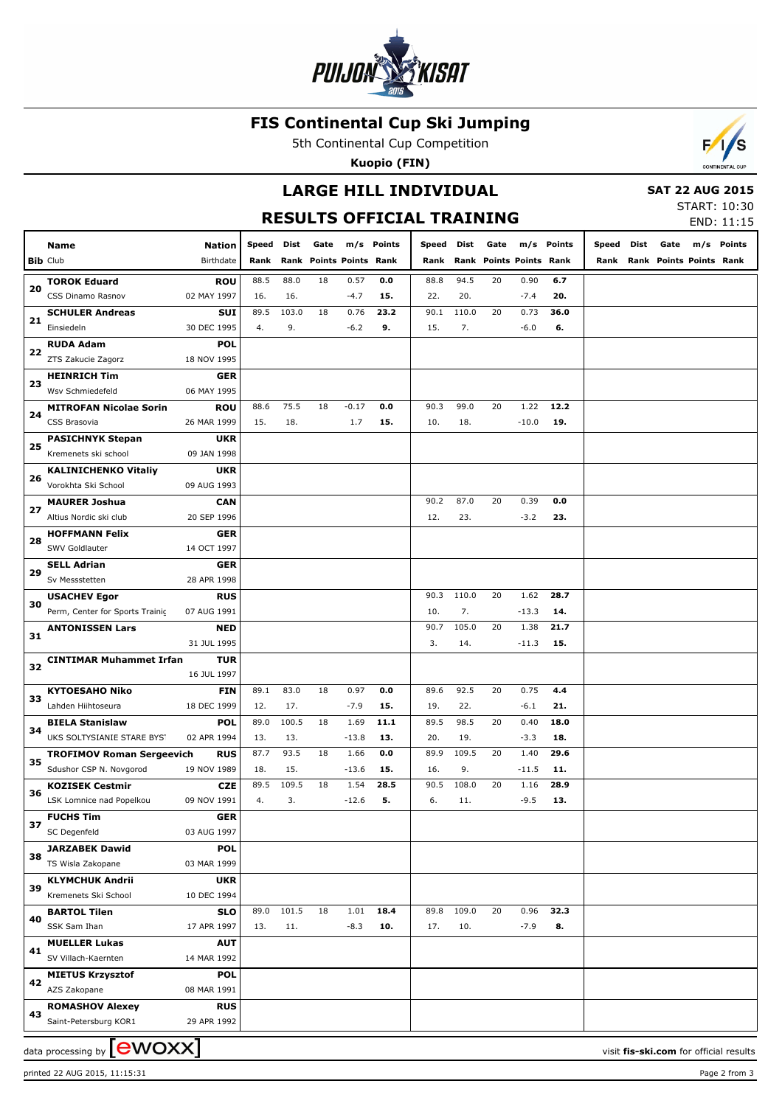

## **FIS Continental Cup Ski Jumping**

5th Continental Cup Competition

**Kuopio (FIN)**



## **LARGE HILL INDIVIDUAL RESULTS OFFICIAL TRAINING**

#### **SAT 22 AUG 2015**

START: 10:30 END: 11:15

|    | Name<br><b>Bib Club</b>                     | <b>Nation</b><br>Birthdate | Speed<br>Rank | Dist  | Gate<br>Rank Points Points Rank |         | m/s Points | Speed<br>Rank | Dist  | Gate<br>Rank Points Points Rank |         | m/s Points | Speed Dist | Gate<br>Rank Rank Points Points Rank | m/s Points                             |
|----|---------------------------------------------|----------------------------|---------------|-------|---------------------------------|---------|------------|---------------|-------|---------------------------------|---------|------------|------------|--------------------------------------|----------------------------------------|
|    | <b>TOROK Eduard</b>                         | <b>ROU</b>                 | 88.5          | 88.0  | 18                              | 0.57    | 0.0        | 88.8          | 94.5  | 20                              | 0.90    | 6.7        |            |                                      |                                        |
| 20 | CSS Dinamo Rasnov                           | 02 MAY 1997                | 16.           | 16.   |                                 | $-4.7$  | 15.        | 22.           | 20.   |                                 | $-7.4$  | 20.        |            |                                      |                                        |
|    | <b>SCHULER Andreas</b>                      | <b>SUI</b>                 | 89.5          | 103.0 | 18                              | 0.76    | 23.2       | 90.1          | 110.0 | 20                              | 0.73    | 36.0       |            |                                      |                                        |
| 21 | Einsiedeln                                  | 30 DEC 1995                | 4.            | 9.    |                                 | $-6.2$  | 9.         | 15.           | 7.    |                                 | $-6.0$  | 6.         |            |                                      |                                        |
|    | <b>RUDA Adam</b>                            | <b>POL</b>                 |               |       |                                 |         |            |               |       |                                 |         |            |            |                                      |                                        |
| 22 | ZTS Zakucie Zagorz                          | 18 NOV 1995                |               |       |                                 |         |            |               |       |                                 |         |            |            |                                      |                                        |
|    | <b>HEINRICH Tim</b>                         | <b>GER</b>                 |               |       |                                 |         |            |               |       |                                 |         |            |            |                                      |                                        |
| 23 | Wsv Schmiedefeld                            | 06 MAY 1995                |               |       |                                 |         |            |               |       |                                 |         |            |            |                                      |                                        |
|    | <b>MITROFAN Nicolae Sorin</b>               | <b>ROU</b>                 | 88.6          | 75.5  | 18                              | $-0.17$ | 0.0        | 90.3          | 99.0  | 20                              | 1.22    | 12.2       |            |                                      |                                        |
| 24 | CSS Brasovia                                | 26 MAR 1999                | 15.           | 18.   |                                 | 1.7     | 15.        | 10.           | 18.   |                                 | $-10.0$ | 19.        |            |                                      |                                        |
|    | <b>PASICHNYK Stepan</b>                     | <b>UKR</b>                 |               |       |                                 |         |            |               |       |                                 |         |            |            |                                      |                                        |
| 25 | Kremenets ski school                        | 09 JAN 1998                |               |       |                                 |         |            |               |       |                                 |         |            |            |                                      |                                        |
|    | <b>KALINICHENKO Vitaliy</b>                 | <b>UKR</b>                 |               |       |                                 |         |            |               |       |                                 |         |            |            |                                      |                                        |
| 26 | Vorokhta Ski School                         | 09 AUG 1993                |               |       |                                 |         |            |               |       |                                 |         |            |            |                                      |                                        |
|    | <b>MAURER Joshua</b>                        | <b>CAN</b>                 |               |       |                                 |         |            | 90.2          | 87.0  | 20                              | 0.39    | 0.0        |            |                                      |                                        |
| 27 | Altius Nordic ski club                      | 20 SEP 1996                |               |       |                                 |         |            | 12.           | 23.   |                                 | $-3.2$  | 23.        |            |                                      |                                        |
| 28 | <b>HOFFMANN Felix</b>                       | <b>GER</b>                 |               |       |                                 |         |            |               |       |                                 |         |            |            |                                      |                                        |
|    | SWV Goldlauter                              | 14 OCT 1997                |               |       |                                 |         |            |               |       |                                 |         |            |            |                                      |                                        |
| 29 | <b>SELL Adrian</b>                          | GER                        |               |       |                                 |         |            |               |       |                                 |         |            |            |                                      |                                        |
|    | Sv Messstetten                              | 28 APR 1998                |               |       |                                 |         |            |               |       |                                 |         |            |            |                                      |                                        |
| 30 | <b>USACHEV Egor</b>                         | <b>RUS</b>                 |               |       |                                 |         |            | 90.3          | 110.0 | 20                              | 1.62    | 28.7       |            |                                      |                                        |
|    | Perm, Center for Sports Trainic             | 07 AUG 1991                |               |       |                                 |         |            | 10.           | 7.    |                                 | $-13.3$ | 14.        |            |                                      |                                        |
| 31 | <b>ANTONISSEN Lars</b>                      | <b>NED</b>                 |               |       |                                 |         |            | 90.7          | 105.0 | 20                              | 1.38    | 21.7       |            |                                      |                                        |
|    |                                             | 31 JUL 1995                |               |       |                                 |         |            | 3.            | 14.   |                                 | $-11.3$ | 15.        |            |                                      |                                        |
| 32 | <b>CINTIMAR Muhammet Irfan</b>              | <b>TUR</b>                 |               |       |                                 |         |            |               |       |                                 |         |            |            |                                      |                                        |
|    |                                             | 16 JUL 1997                |               |       |                                 |         |            |               |       |                                 |         |            |            |                                      |                                        |
| 33 | <b>KYTOESAHO Niko</b>                       | <b>FIN</b>                 | 89.1          | 83.0  | 18                              | 0.97    | 0.0        | 89.6          | 92.5  | 20                              | 0.75    | 4.4        |            |                                      |                                        |
|    | Lahden Hiihtoseura                          | 18 DEC 1999                | 12.           | 17.   |                                 | $-7.9$  | 15.        | 19.           | 22.   |                                 | $-6.1$  | 21.        |            |                                      |                                        |
| 34 | <b>BIELA Stanislaw</b>                      | <b>POL</b>                 | 89.0          | 100.5 | 18                              | 1.69    | 11.1       | 89.5          | 98.5  | 20                              | 0.40    | 18.0       |            |                                      |                                        |
|    | UKS SOLTYSIANIE STARE BYST                  | 02 APR 1994                | 13.           | 13.   |                                 | $-13.8$ | 13.        | 20.           | 19.   |                                 | $-3.3$  | 18.        |            |                                      |                                        |
| 35 | <b>TROFIMOV Roman Sergeevich</b>            | <b>RUS</b>                 | 87.7          | 93.5  | 18                              | 1.66    | 0.0        | 89.9          | 109.5 | 20                              | 1.40    | 29.6       |            |                                      |                                        |
|    | Sdushor CSP N. Novgorod                     | 19 NOV 1989                | 18.           | 15.   |                                 | $-13.6$ | 15.        | 16.           | 9.    |                                 | $-11.5$ | 11.        |            |                                      |                                        |
| 36 | <b>KOZISEK Cestmir</b>                      | <b>CZE</b>                 | 89.5          | 109.5 | 18                              | 1.54    | 28.5       | 90.5          | 108.0 | 20                              | 1.16    | 28.9       |            |                                      |                                        |
|    | LSK Lomnice nad Popelkou                    | 09 NOV 1991                | 4.            | 3.    |                                 | $-12.6$ | 5.         | 6.            | 11.   |                                 | $-9.5$  | 13.        |            |                                      |                                        |
| 37 | <b>FUCHS Tim</b>                            | <b>GER</b>                 |               |       |                                 |         |            |               |       |                                 |         |            |            |                                      |                                        |
|    | SC Degenfeld                                | 03 AUG 1997                |               |       |                                 |         |            |               |       |                                 |         |            |            |                                      |                                        |
| 38 | <b>JARZABEK Dawid</b>                       | <b>POL</b>                 |               |       |                                 |         |            |               |       |                                 |         |            |            |                                      |                                        |
|    | TS Wisla Zakopane                           | 03 MAR 1999                |               |       |                                 |         |            |               |       |                                 |         |            |            |                                      |                                        |
| 39 | <b>KLYMCHUK Andrii</b>                      | <b>UKR</b>                 |               |       |                                 |         |            |               |       |                                 |         |            |            |                                      |                                        |
|    | Kremenets Ski School                        | 10 DEC 1994                | 89.0          | 101.5 | 18                              | 1.01    | 18.4       | 89.8          | 109.0 | 20                              | 0.96    | 32.3       |            |                                      |                                        |
| 40 | <b>BARTOL Tilen</b><br>SSK Sam Ihan         | <b>SLO</b><br>17 APR 1997  | 13.           |       |                                 |         | 10.        | 17.           | 10.   |                                 | $-7.9$  | 8.         |            |                                      |                                        |
|    |                                             |                            |               | 11.   |                                 | $-8.3$  |            |               |       |                                 |         |            |            |                                      |                                        |
| 41 | <b>MUELLER Lukas</b><br>SV Villach-Kaernten | AUT<br>14 MAR 1992         |               |       |                                 |         |            |               |       |                                 |         |            |            |                                      |                                        |
|    | <b>MIETUS Krzysztof</b>                     |                            |               |       |                                 |         |            |               |       |                                 |         |            |            |                                      |                                        |
| 42 | AZS Zakopane                                | <b>POL</b><br>08 MAR 1991  |               |       |                                 |         |            |               |       |                                 |         |            |            |                                      |                                        |
|    | <b>ROMASHOV Alexey</b>                      | <b>RUS</b>                 |               |       |                                 |         |            |               |       |                                 |         |            |            |                                      |                                        |
| 43 | Saint-Petersburg KOR1                       | 29 APR 1992                |               |       |                                 |         |            |               |       |                                 |         |            |            |                                      |                                        |
|    |                                             |                            |               |       |                                 |         |            |               |       |                                 |         |            |            |                                      |                                        |
|    | data processing by $[\text{ewoxx}]$         |                            |               |       |                                 |         |            |               |       |                                 |         |            |            |                                      | visit fis-ski.com for official results |

printed 22 AUG 2015, 11:15:31 Page 2 from 3